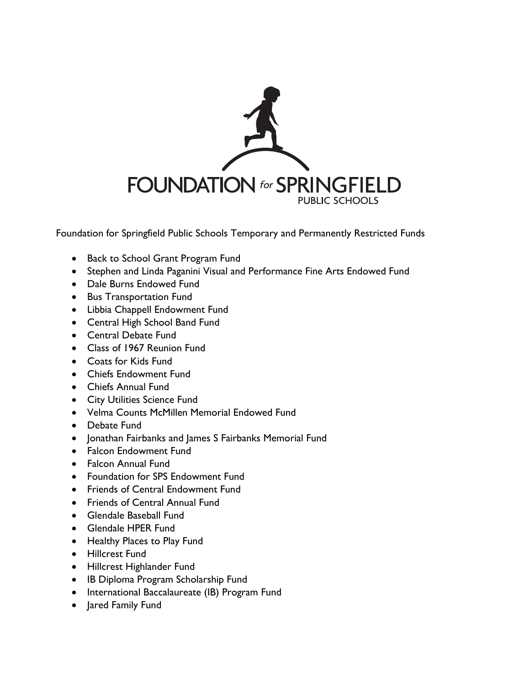

Foundation for Springfield Public Schools Temporary and Permanently Restricted Funds

- Back to School Grant Program Fund
- Stephen and Linda Paganini Visual and Performance Fine Arts Endowed Fund
- Dale Burns Endowed Fund
- **•** Bus Transportation Fund
- Libbia Chappell Endowment Fund
- Central High School Band Fund
- Central Debate Fund
- Class of 1967 Reunion Fund
- Coats for Kids Fund
- Chiefs Endowment Fund
- Chiefs Annual Fund
- **City Utilities Science Fund**
- Velma Counts McMillen Memorial Endowed Fund
- Debate Fund
- Jonathan Fairbanks and James S Fairbanks Memorial Fund
- Falcon Endowment Fund
- **•** Falcon Annual Fund
- Foundation for SPS Endowment Fund
- Friends of Central Endowment Fund
- Friends of Central Annual Fund
- Glendale Baseball Fund
- Glendale HPER Fund
- Healthy Places to Play Fund
- Hillcrest Fund
- Hillcrest Highlander Fund
- IB Diploma Program Scholarship Fund
- International Baccalaureate (IB) Program Fund
- Jared Family Fund